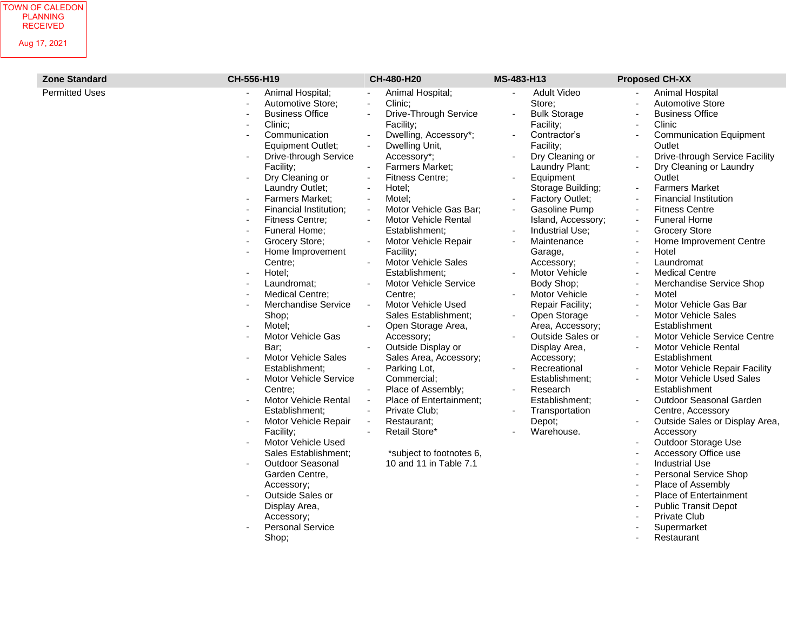| <b>Zone Standard</b>  | CH-556-H19                                                                                                                                                                                                                                                                                                                                                                                                                                                                                                                                                                                                                                                                                                                                                                                                                                                                                                                                              | CH-480-H20                                                                                                                                                                                                                                                                                                                                                                                                                                                                                                                                                                                                                                                                                                                                                                                                                                                                                                                                                                                                                                                       | MS-483-H13                                                                                                                                                                                                                                                                                                                                                                                                                                                                                                                                                                                                                             | <b>Proposed CH-XX</b>                                                                                                                                                                                                                                                                                                                                                                                                                                                                                                                                                                                                                                                                                                                                                                                                                                                                                                                                                                                                                                                                                                                                                                                                                                        |
|-----------------------|---------------------------------------------------------------------------------------------------------------------------------------------------------------------------------------------------------------------------------------------------------------------------------------------------------------------------------------------------------------------------------------------------------------------------------------------------------------------------------------------------------------------------------------------------------------------------------------------------------------------------------------------------------------------------------------------------------------------------------------------------------------------------------------------------------------------------------------------------------------------------------------------------------------------------------------------------------|------------------------------------------------------------------------------------------------------------------------------------------------------------------------------------------------------------------------------------------------------------------------------------------------------------------------------------------------------------------------------------------------------------------------------------------------------------------------------------------------------------------------------------------------------------------------------------------------------------------------------------------------------------------------------------------------------------------------------------------------------------------------------------------------------------------------------------------------------------------------------------------------------------------------------------------------------------------------------------------------------------------------------------------------------------------|----------------------------------------------------------------------------------------------------------------------------------------------------------------------------------------------------------------------------------------------------------------------------------------------------------------------------------------------------------------------------------------------------------------------------------------------------------------------------------------------------------------------------------------------------------------------------------------------------------------------------------------|--------------------------------------------------------------------------------------------------------------------------------------------------------------------------------------------------------------------------------------------------------------------------------------------------------------------------------------------------------------------------------------------------------------------------------------------------------------------------------------------------------------------------------------------------------------------------------------------------------------------------------------------------------------------------------------------------------------------------------------------------------------------------------------------------------------------------------------------------------------------------------------------------------------------------------------------------------------------------------------------------------------------------------------------------------------------------------------------------------------------------------------------------------------------------------------------------------------------------------------------------------------|
| <b>Permitted Uses</b> | Animal Hospital;<br>Automotive Store;<br><b>Business Office</b><br>Clinic;<br>$\blacksquare$<br>Communication<br>÷.<br><b>Equipment Outlet;</b><br>Drive-through Service<br>Facility;<br>Dry Cleaning or<br>Laundry Outlet;<br>Farmers Market;<br>$\blacksquare$<br>Financial Institution;<br>$\blacksquare$<br>Fitness Centre;<br>$\blacksquare$<br>Funeral Home;<br>$\blacksquare$<br>Grocery Store;<br>$\sim$<br>Home Improvement<br>Centre;<br>Hotel;<br>Laundromat;<br>Medical Centre;<br>Merchandise Service<br>Shop;<br>Motel:<br>Motor Vehicle Gas<br>Bar;<br><b>Motor Vehicle Sales</b><br>Establishment;<br>Motor Vehicle Service<br>Centre:<br>Motor Vehicle Rental<br>$\blacksquare$<br>Establishment:<br>Motor Vehicle Repair<br>Facility;<br>Motor Vehicle Used<br>Sales Establishment;<br><b>Outdoor Seasonal</b><br>Garden Centre,<br>Accessory;<br>Outside Sales or<br>Display Area,<br>Accessory;<br><b>Personal Service</b><br>Shop; | Animal Hospital;<br>Clinic;<br>$\blacksquare$<br>Drive-Through Service<br>$\sim$<br>Facility;<br>Dwelling, Accessory*;<br>Dwelling Unit,<br>$\blacksquare$<br>Accessory*;<br>Farmers Market;<br>$\overline{\phantom{a}}$<br><b>Fitness Centre;</b><br>$\overline{\phantom{a}}$<br>Hotel;<br>$\overline{\phantom{a}}$<br>Motel:<br>$\overline{\phantom{a}}$<br>Motor Vehicle Gas Bar;<br>$\overline{\phantom{a}}$<br>Motor Vehicle Rental<br>$\overline{\phantom{a}}$<br>Establishment;<br>Motor Vehicle Repair<br>$\blacksquare$<br>Facility;<br><b>Motor Vehicle Sales</b><br>Establishment;<br>Motor Vehicle Service<br>Centre:<br>Motor Vehicle Used<br>Sales Establishment;<br>Open Storage Area,<br>$\blacksquare$<br>Accessory;<br>Outside Display or<br>Sales Area, Accessory;<br>Parking Lot,<br>Commercial;<br>Place of Assembly;<br>Place of Entertainment;<br>$\overline{\phantom{a}}$<br>Private Club;<br>Restaurant;<br>$\overline{\phantom{a}}$<br>Retail Store*<br>$\overline{\phantom{a}}$<br>*subject to footnotes 6,<br>10 and 11 in Table 7.1 | <b>Adult Video</b><br>Store;<br><b>Bulk Storage</b><br>$\blacksquare$<br>Facility;<br>Contractor's<br>Facility;<br>Dry Cleaning or<br>Laundry Plant;<br>Equipment<br>$\blacksquare$<br>Storage Building;<br>Factory Outlet;<br>Gasoline Pump<br>$\blacksquare$<br>Island, Accessory;<br>Industrial Use;<br>Maintenance<br>Garage,<br>Accessory;<br>Motor Vehicle<br>Body Shop;<br>Motor Vehicle<br>Repair Facility;<br>Open Storage<br>Area, Accessory;<br>Outside Sales or<br>Display Area,<br>Accessory;<br>Recreational<br>Establishment;<br>Research<br>$\blacksquare$<br>Establishment;<br>Transportation<br>Depot;<br>Warehouse. | Animal Hospital<br>$\blacksquare$<br><b>Automotive Store</b><br><b>Business Office</b><br>ä,<br>Clinic<br>÷,<br><b>Communication Equipment</b><br>$\blacksquare$<br>Outlet<br>Drive-through Service Facility<br>÷,<br>Dry Cleaning or Laundry<br>Outlet<br><b>Farmers Market</b><br><b>Financial Institution</b><br>÷,<br><b>Fitness Centre</b><br>$\blacksquare$<br><b>Funeral Home</b><br>$\overline{\phantom{a}}$<br><b>Grocery Store</b><br>÷,<br>Home Improvement Centre<br>Hotel<br>Laundromat<br>ä,<br><b>Medical Centre</b><br>÷,<br>Merchandise Service Shop<br>Motel<br>$\blacksquare$<br>Motor Vehicle Gas Bar<br>$\sim$<br><b>Motor Vehicle Sales</b><br>Establishment<br>Motor Vehicle Service Centre<br>$\blacksquare$<br>Motor Vehicle Rental<br>Establishment<br>Motor Vehicle Repair Facility<br>Motor Vehicle Used Sales<br>$\blacksquare$<br>Establishment<br>Outdoor Seasonal Garden<br>$\overline{\phantom{a}}$<br>Centre, Accessory<br>Outside Sales or Display Area,<br>÷,<br>Accessory<br>Outdoor Storage Use<br>Accessory Office use<br>ä,<br><b>Industrial Use</b><br>Personal Service Shop<br>Place of Assembly<br>÷<br>Place of Entertainment<br><b>Public Transit Depot</b><br><b>Private Club</b><br>Supermarket<br>Restaurant |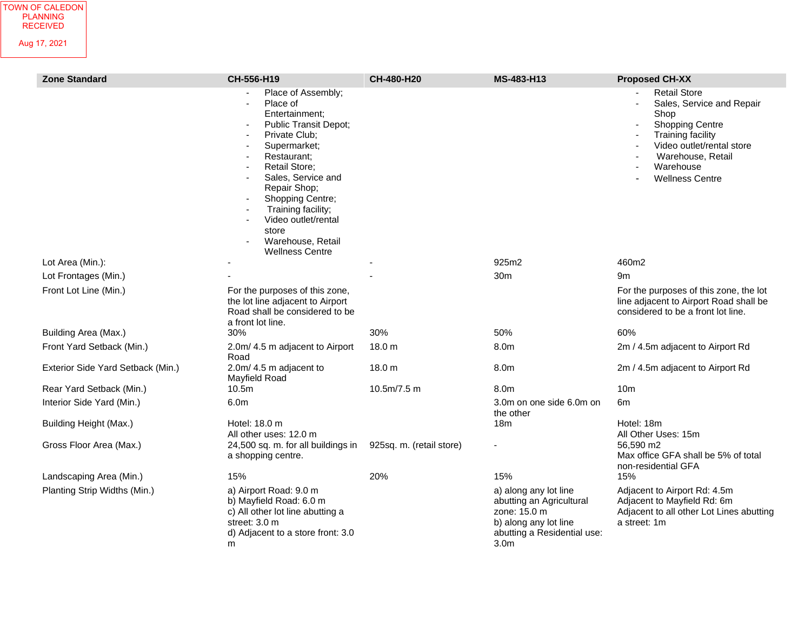| <b>Zone Standard</b>              | CH-556-H19                                                                                                                                                                                                                                                                                                                           | CH-480-H20               | MS-483-H13                                                                                                                                    | <b>Proposed CH-XX</b>                                                                                                                                                                            |
|-----------------------------------|--------------------------------------------------------------------------------------------------------------------------------------------------------------------------------------------------------------------------------------------------------------------------------------------------------------------------------------|--------------------------|-----------------------------------------------------------------------------------------------------------------------------------------------|--------------------------------------------------------------------------------------------------------------------------------------------------------------------------------------------------|
|                                   | Place of Assembly;<br>Place of<br>Entertainment;<br>Public Transit Depot;<br>Private Club;<br>$\sim$<br>Supermarket;<br>Restaurant:<br><b>Retail Store:</b><br>Sales, Service and<br>Repair Shop;<br>Shopping Centre;<br>Training facility;<br>Video outlet/rental<br>$\sim$<br>store<br>Warehouse, Retail<br><b>Wellness Centre</b> |                          |                                                                                                                                               | <b>Retail Store</b><br>Sales, Service and Repair<br>Shop<br><b>Shopping Centre</b><br>Training facility<br>Video outlet/rental store<br>Warehouse, Retail<br>Warehouse<br><b>Wellness Centre</b> |
| Lot Area (Min.):                  |                                                                                                                                                                                                                                                                                                                                      |                          | 925m2                                                                                                                                         | 460m2                                                                                                                                                                                            |
| Lot Frontages (Min.)              |                                                                                                                                                                                                                                                                                                                                      |                          | 30 <sub>m</sub>                                                                                                                               | 9m                                                                                                                                                                                               |
| Front Lot Line (Min.)             | For the purposes of this zone,<br>the lot line adjacent to Airport<br>Road shall be considered to be<br>a front lot line.                                                                                                                                                                                                            |                          |                                                                                                                                               | For the purposes of this zone, the lot<br>line adjacent to Airport Road shall be<br>considered to be a front lot line.                                                                           |
| Building Area (Max.)              | 30%                                                                                                                                                                                                                                                                                                                                  | 30%                      | 50%                                                                                                                                           | 60%                                                                                                                                                                                              |
| Front Yard Setback (Min.)         | 2.0m/ 4.5 m adjacent to Airport<br>Road                                                                                                                                                                                                                                                                                              | 18.0 m                   | 8.0m                                                                                                                                          | 2m / 4.5m adjacent to Airport Rd                                                                                                                                                                 |
| Exterior Side Yard Setback (Min.) | 2.0m/ 4.5 m adjacent to<br>Mayfield Road                                                                                                                                                                                                                                                                                             | 18.0 m                   | 8.0m                                                                                                                                          | 2m / 4.5m adjacent to Airport Rd                                                                                                                                                                 |
| Rear Yard Setback (Min.)          | 10.5 <sub>m</sub>                                                                                                                                                                                                                                                                                                                    | 10.5m/7.5m               | 8.0m                                                                                                                                          | 10 <sub>m</sub>                                                                                                                                                                                  |
| Interior Side Yard (Min.)         | 6.0m                                                                                                                                                                                                                                                                                                                                 |                          | 3.0m on one side 6.0m on<br>the other                                                                                                         | 6m                                                                                                                                                                                               |
| Building Height (Max.)            | Hotel: 18.0 m<br>All other uses: 12.0 m                                                                                                                                                                                                                                                                                              |                          | 18 <sub>m</sub>                                                                                                                               | Hotel: 18m<br>All Other Uses: 15m                                                                                                                                                                |
| Gross Floor Area (Max.)           | 24,500 sq. m. for all buildings in<br>a shopping centre.                                                                                                                                                                                                                                                                             | 925sq. m. (retail store) |                                                                                                                                               | 56,590 m2<br>Max office GFA shall be 5% of total<br>non-residential GFA                                                                                                                          |
| Landscaping Area (Min.)           | 15%                                                                                                                                                                                                                                                                                                                                  | 20%                      | 15%                                                                                                                                           | 15%                                                                                                                                                                                              |
| Planting Strip Widths (Min.)      | a) Airport Road: 9.0 m<br>b) Mayfield Road: 6.0 m<br>c) All other lot line abutting a<br>street: 3.0 m<br>d) Adjacent to a store front: 3.0<br>m                                                                                                                                                                                     |                          | a) along any lot line<br>abutting an Agricultural<br>zone: 15.0 m<br>b) along any lot line<br>abutting a Residential use:<br>3.0 <sub>m</sub> | Adjacent to Airport Rd: 4.5m<br>Adjacent to Mayfield Rd: 6m<br>Adjacent to all other Lot Lines abutting<br>a street: 1m                                                                          |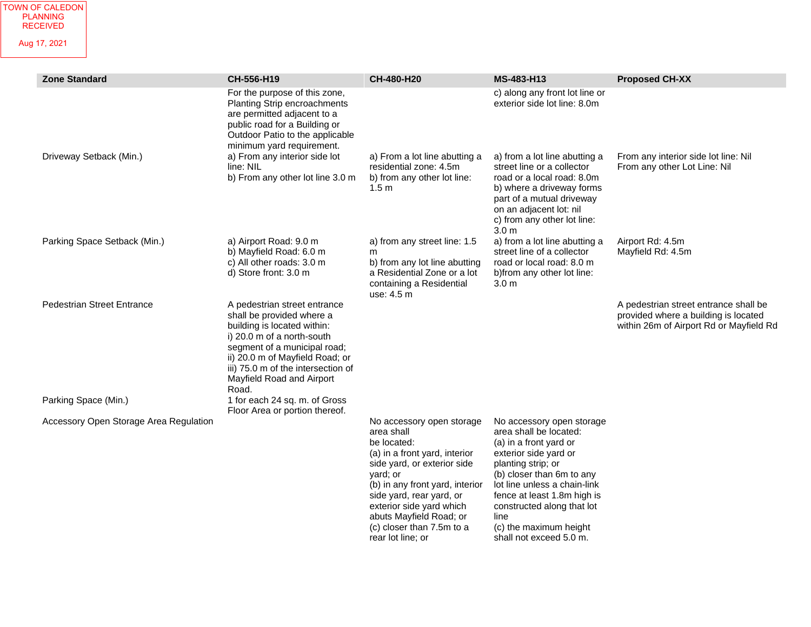| <b>Zone Standard</b>                   | CH-556-H19                                                                                                                                                                                                                                                            | CH-480-H20                                                                                                                                                                                                                                                                                                 | MS-483-H13                                                                                                                                                                                                                                                                                                          | <b>Proposed CH-XX</b>                                                                                                    |
|----------------------------------------|-----------------------------------------------------------------------------------------------------------------------------------------------------------------------------------------------------------------------------------------------------------------------|------------------------------------------------------------------------------------------------------------------------------------------------------------------------------------------------------------------------------------------------------------------------------------------------------------|---------------------------------------------------------------------------------------------------------------------------------------------------------------------------------------------------------------------------------------------------------------------------------------------------------------------|--------------------------------------------------------------------------------------------------------------------------|
|                                        | For the purpose of this zone,<br>Planting Strip encroachments<br>are permitted adjacent to a<br>public road for a Building or<br>Outdoor Patio to the applicable<br>minimum yard requirement.                                                                         |                                                                                                                                                                                                                                                                                                            | c) along any front lot line or<br>exterior side lot line: 8.0m                                                                                                                                                                                                                                                      |                                                                                                                          |
| Driveway Setback (Min.)                | a) From any interior side lot<br>line: NIL<br>b) From any other lot line 3.0 m                                                                                                                                                                                        | a) From a lot line abutting a<br>residential zone: 4.5m<br>b) from any other lot line:<br>1.5 <sub>m</sub>                                                                                                                                                                                                 | a) from a lot line abutting a<br>street line or a collector<br>road or a local road: 8.0m<br>b) where a driveway forms<br>part of a mutual driveway<br>on an adjacent lot: nil<br>c) from any other lot line:<br>3.0 <sub>m</sub>                                                                                   | From any interior side lot line: Nil<br>From any other Lot Line: Nil                                                     |
| Parking Space Setback (Min.)           | a) Airport Road: 9.0 m<br>b) Mayfield Road: 6.0 m<br>c) All other roads: 3.0 m<br>d) Store front: 3.0 m                                                                                                                                                               | a) from any street line: 1.5<br>m<br>b) from any lot line abutting<br>a Residential Zone or a lot<br>containing a Residential<br>use: 4.5 m                                                                                                                                                                | a) from a lot line abutting a<br>street line of a collector<br>road or local road: 8.0 m<br>b)from any other lot line:<br>3.0 <sub>m</sub>                                                                                                                                                                          | Airport Rd: 4.5m<br>Mayfield Rd: 4.5m                                                                                    |
| <b>Pedestrian Street Entrance</b>      | A pedestrian street entrance<br>shall be provided where a<br>building is located within:<br>i) 20.0 m of a north-south<br>segment of a municipal road;<br>ii) 20.0 m of Mayfield Road; or<br>iii) 75.0 m of the intersection of<br>Mayfield Road and Airport<br>Road. |                                                                                                                                                                                                                                                                                                            |                                                                                                                                                                                                                                                                                                                     | A pedestrian street entrance shall be<br>provided where a building is located<br>within 26m of Airport Rd or Mayfield Rd |
| Parking Space (Min.)                   | 1 for each 24 sq. m. of Gross<br>Floor Area or portion thereof.                                                                                                                                                                                                       |                                                                                                                                                                                                                                                                                                            |                                                                                                                                                                                                                                                                                                                     |                                                                                                                          |
| Accessory Open Storage Area Regulation |                                                                                                                                                                                                                                                                       | No accessory open storage<br>area shall<br>be located:<br>(a) in a front yard, interior<br>side yard, or exterior side<br>vard; or<br>(b) in any front yard, interior<br>side yard, rear yard, or<br>exterior side yard which<br>abuts Mayfield Road; or<br>(c) closer than 7.5m to a<br>rear lot line; or | No accessory open storage<br>area shall be located:<br>(a) in a front yard or<br>exterior side yard or<br>planting strip; or<br>(b) closer than 6m to any<br>lot line unless a chain-link<br>fence at least 1.8m high is<br>constructed along that lot<br>line<br>(c) the maximum height<br>shall not exceed 5.0 m. |                                                                                                                          |